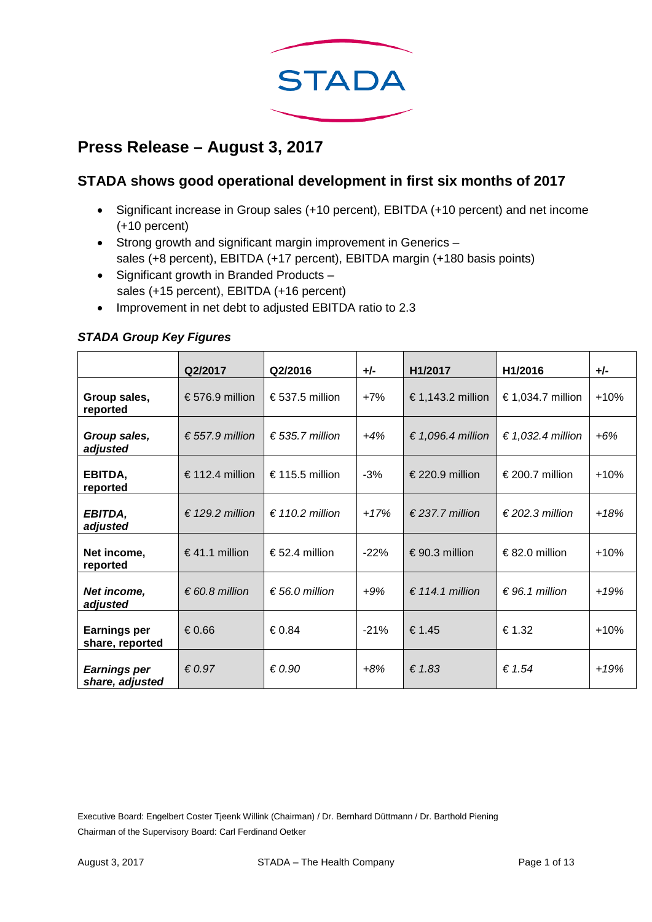

# **Press Release – August 3, 2017**

## **STADA shows good operational development in first six months of 2017**

- Significant increase in Group sales (+10 percent), EBITDA (+10 percent) and net income (+10 percent)
- Strong growth and significant margin improvement in Generics sales (+8 percent), EBITDA (+17 percent), EBITDA margin (+180 basis points)
- Significant growth in Branded Products sales (+15 percent), EBITDA (+16 percent)
- Improvement in net debt to adjusted EBITDA ratio to 2.3

### *STADA Group Key Figures*

|                                        | Q2/2017                  | Q2/2016                  | $+/-$  | H1/2017                  | H1/2016                  | $+/-$  |
|----------------------------------------|--------------------------|--------------------------|--------|--------------------------|--------------------------|--------|
| Group sales,<br>reported               | €576.9 million           | € 537.5 million          | $+7%$  | € 1,143.2 million        | € 1,034.7 million        | $+10%$ |
| Group sales,<br>adjusted               | € 557.9 million          | $\epsilon$ 535.7 million | $+4%$  | € 1,096.4 million        | € 1,032.4 million        | $+6%$  |
| EBITDA,<br>reported                    | € 112.4 million          | €115.5 million           | $-3%$  | € 220.9 million          | € 200.7 million          | $+10%$ |
| EBITDA,<br>adjusted                    | $\epsilon$ 129.2 million | $\epsilon$ 110.2 million | $+17%$ | $\epsilon$ 237.7 million | $\epsilon$ 202.3 million | $+18%$ |
| Net income,<br>reported                | €41.1 million            | €52.4 million            | $-22%$ | €90.3 million            | €82.0 million            | $+10%$ |
| Net income,<br>adjusted                | $\epsilon$ 60.8 million  | $\epsilon$ 56.0 million  | $+9%$  | € 114.1 million          | $\epsilon$ 96.1 million  | $+19%$ |
| <b>Earnings per</b><br>share, reported | €0.66                    | €0.84                    | $-21%$ | €1.45                    | €1.32                    | $+10%$ |
| <b>Earnings per</b><br>share, adjusted | $\epsilon$ 0.97          | $\epsilon$ 0.90          | $+8%$  | € $1.83$                 | $\epsilon$ 1.54          | $+19%$ |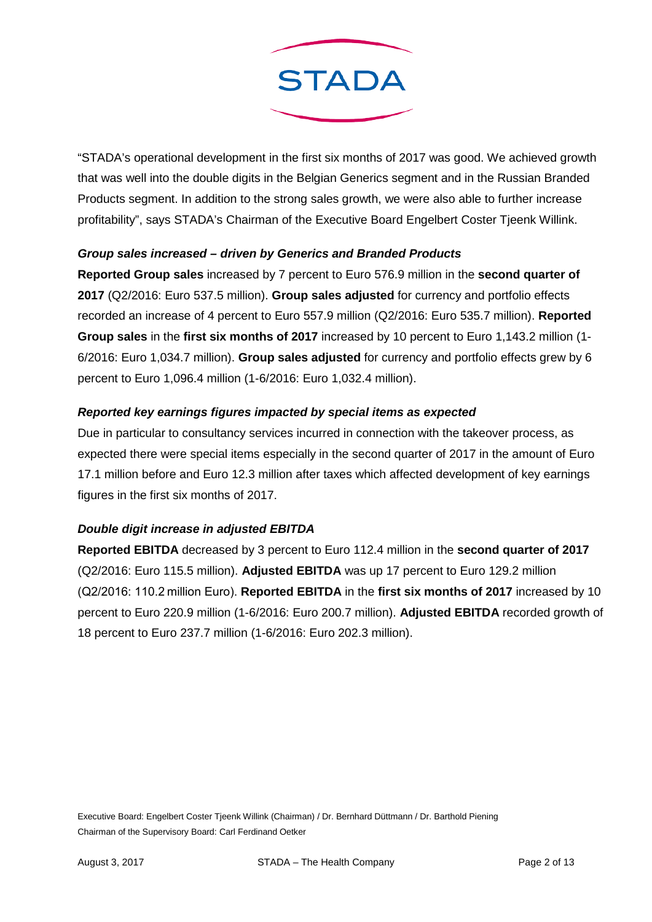

"STADA's operational development in the first six months of 2017 was good. We achieved growth that was well into the double digits in the Belgian Generics segment and in the Russian Branded Products segment. In addition to the strong sales growth, we were also able to further increase profitability", says STADA's Chairman of the Executive Board Engelbert Coster Tjeenk Willink.

### *Group sales increased – driven by Generics and Branded Products*

**Reported Group sales** increased by 7 percent to Euro 576.9 million in the **second quarter of 2017** (Q2/2016: Euro 537.5 million). **Group sales adjusted** for currency and portfolio effects recorded an increase of 4 percent to Euro 557.9 million (Q2/2016: Euro 535.7 million). **Reported Group sales** in the **first six months of 2017** increased by 10 percent to Euro 1,143.2 million (1- 6/2016: Euro 1,034.7 million). **Group sales adjusted** for currency and portfolio effects grew by 6 percent to Euro 1,096.4 million (1-6/2016: Euro 1,032.4 million).

## *Reported key earnings figures impacted by special items as expected*

Due in particular to consultancy services incurred in connection with the takeover process, as expected there were special items especially in the second quarter of 2017 in the amount of Euro 17.1 million before and Euro 12.3 million after taxes which affected development of key earnings figures in the first six months of 2017.

## *Double digit increase in adjusted EBITDA*

**Reported EBITDA** decreased by 3 percent to Euro 112.4 million in the **second quarter of 2017** (Q2/2016: Euro 115.5 million). **Adjusted EBITDA** was up 17 percent to Euro 129.2 million (Q2/2016: 110.2 million Euro). **Reported EBITDA** in the **first six months of 2017** increased by 10 percent to Euro 220.9 million (1-6/2016: Euro 200.7 million). **Adjusted EBITDA** recorded growth of 18 percent to Euro 237.7 million (1-6/2016: Euro 202.3 million).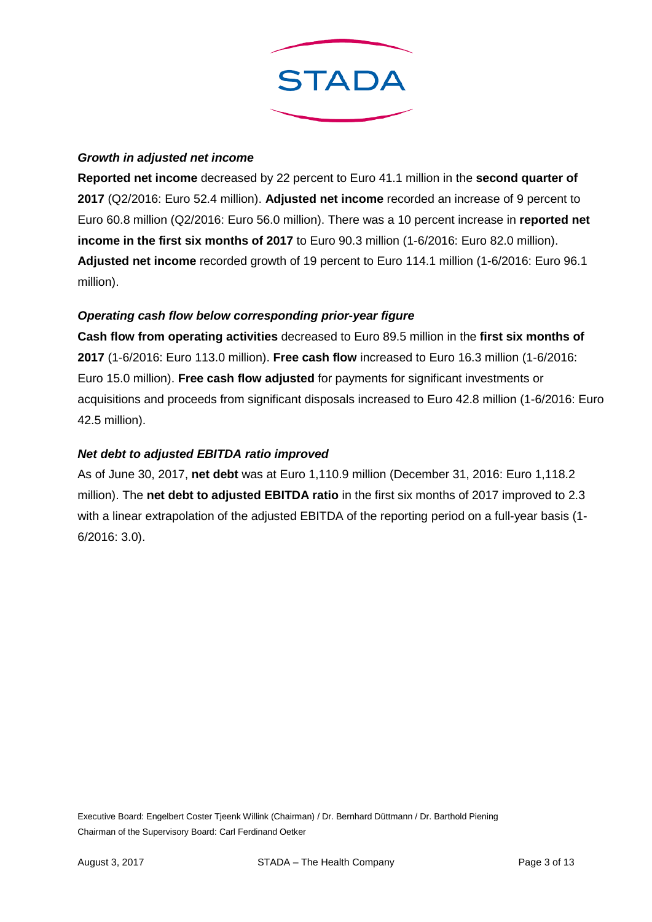

## *Growth in adjusted net income*

**Reported net income** decreased by 22 percent to Euro 41.1 million in the **second quarter of 2017** (Q2/2016: Euro 52.4 million). **Adjusted net income** recorded an increase of 9 percent to Euro 60.8 million (Q2/2016: Euro 56.0 million). There was a 10 percent increase in **reported net income in the first six months of 2017** to Euro 90.3 million (1-6/2016: Euro 82.0 million). **Adjusted net income** recorded growth of 19 percent to Euro 114.1 million (1-6/2016: Euro 96.1 million).

## *Operating cash flow below corresponding prior-year figure*

**Cash flow from operating activities** decreased to Euro 89.5 million in the **first six months of 2017** (1-6/2016: Euro 113.0 million). **Free cash flow** increased to Euro 16.3 million (1-6/2016: Euro 15.0 million). **Free cash flow adjusted** for payments for significant investments or acquisitions and proceeds from significant disposals increased to Euro 42.8 million (1-6/2016: Euro 42.5 million).

## *Net debt to adjusted EBITDA ratio improved*

As of June 30, 2017, **net debt** was at Euro 1,110.9 million (December 31, 2016: Euro 1,118.2 million). The **net debt to adjusted EBITDA ratio** in the first six months of 2017 improved to 2.3 with a linear extrapolation of the adjusted EBITDA of the reporting period on a full-year basis (1- 6/2016: 3.0).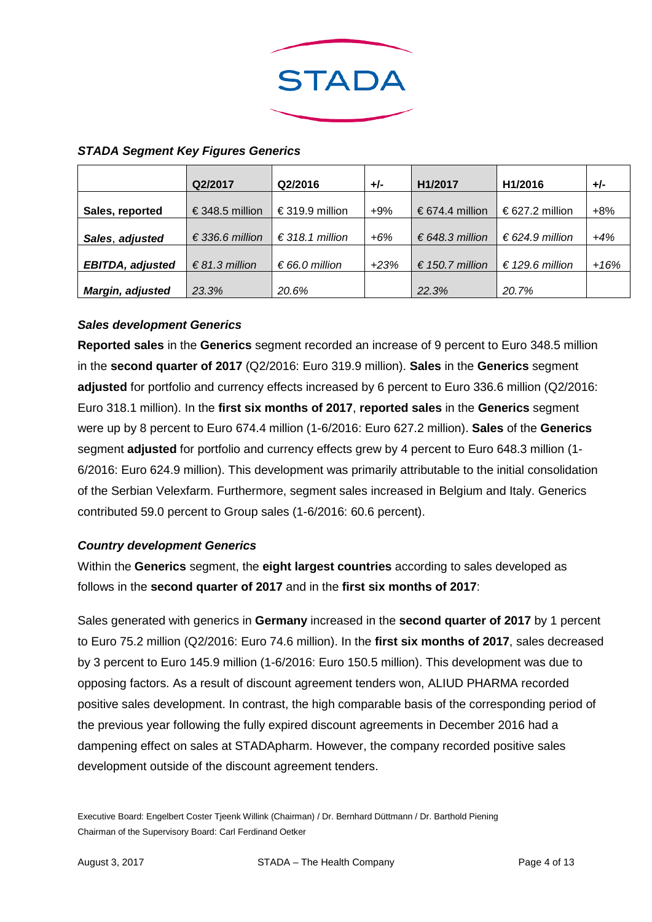

#### *STADA Segment Key Figures Generics*

|                         | Q2/2017                  | Q2/2016         | $+/-$  | H1/2017         | H1/2016         | +/-   |
|-------------------------|--------------------------|-----------------|--------|-----------------|-----------------|-------|
| Sales, reported         | €348.5 million           | €319.9 million  | $+9\%$ | € 674.4 million | €627.2 million  | $+8%$ |
| Sales, adjusted         | $\epsilon$ 336.6 million | € 318.1 million | $+6%$  | € 648.3 million | € 624.9 million | $+4%$ |
| <b>EBITDA, adjusted</b> | $\epsilon$ 81.3 million  | € 66.0 million  | $+23%$ | € 150.7 million | € 129.6 million | +16%  |
| <b>Margin, adjusted</b> | 23.3%                    | 20.6%           |        | 22.3%           | 20.7%           |       |

#### *Sales development Generics*

**Reported sales** in the **Generics** segment recorded an increase of 9 percent to Euro 348.5 million in the **second quarter of 2017** (Q2/2016: Euro 319.9 million). **Sales** in the **Generics** segment **adjusted** for portfolio and currency effects increased by 6 percent to Euro 336.6 million (Q2/2016: Euro 318.1 million). In the **first six months of 2017**, **reported sales** in the **Generics** segment were up by 8 percent to Euro 674.4 million (1-6/2016: Euro 627.2 million). **Sales** of the **Generics** segment **adjusted** for portfolio and currency effects grew by 4 percent to Euro 648.3 million (1- 6/2016: Euro 624.9 million). This development was primarily attributable to the initial consolidation of the Serbian Velexfarm. Furthermore, segment sales increased in Belgium and Italy. Generics contributed 59.0 percent to Group sales (1-6/2016: 60.6 percent).

### *Country development Generics*

Within the **Generics** segment, the **eight largest countries** according to sales developed as follows in the **second quarter of 2017** and in the **first six months of 2017**:

Sales generated with generics in **Germany** increased in the **second quarter of 2017** by 1 percent to Euro 75.2 million (Q2/2016: Euro 74.6 million). In the **first six months of 2017**, sales decreased by 3 percent to Euro 145.9 million (1-6/2016: Euro 150.5 million). This development was due to opposing factors. As a result of discount agreement tenders won, ALIUD PHARMA recorded positive sales development. In contrast, the high comparable basis of the corresponding period of the previous year following the fully expired discount agreements in December 2016 had a dampening effect on sales at STADApharm. However, the company recorded positive sales development outside of the discount agreement tenders.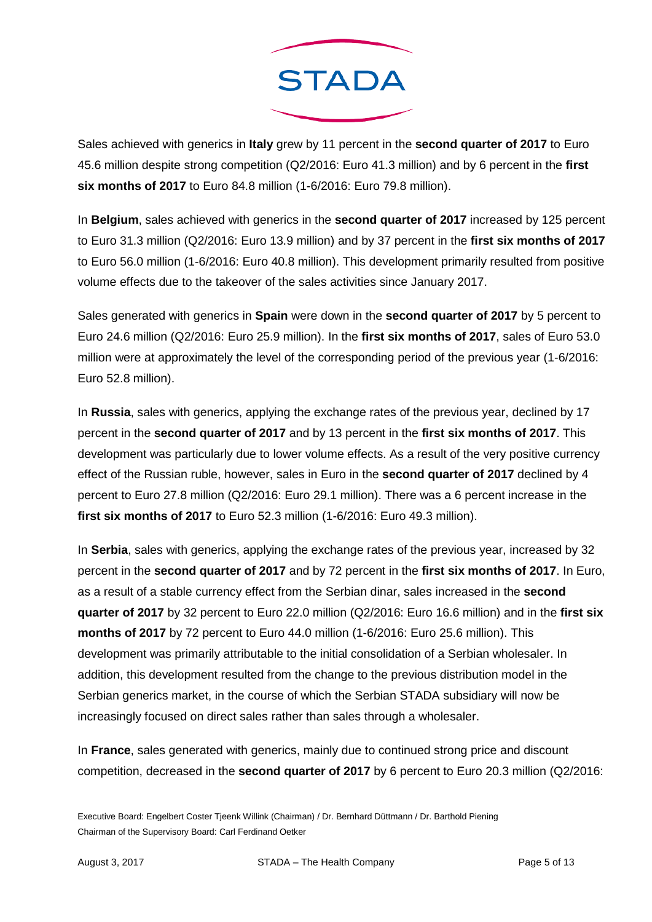

Sales achieved with generics in **Italy** grew by 11 percent in the **second quarter of 2017** to Euro 45.6 million despite strong competition (Q2/2016: Euro 41.3 million) and by 6 percent in the **first six months of 2017** to Euro 84.8 million (1-6/2016: Euro 79.8 million).

In **Belgium**, sales achieved with generics in the **second quarter of 2017** increased by 125 percent to Euro 31.3 million (Q2/2016: Euro 13.9 million) and by 37 percent in the **first six months of 2017** to Euro 56.0 million (1-6/2016: Euro 40.8 million). This development primarily resulted from positive volume effects due to the takeover of the sales activities since January 2017.

Sales generated with generics in **Spain** were down in the **second quarter of 2017** by 5 percent to Euro 24.6 million (Q2/2016: Euro 25.9 million). In the **first six months of 2017**, sales of Euro 53.0 million were at approximately the level of the corresponding period of the previous year (1-6/2016: Euro 52.8 million).

In **Russia**, sales with generics, applying the exchange rates of the previous year, declined by 17 percent in the **second quarter of 2017** and by 13 percent in the **first six months of 2017**. This development was particularly due to lower volume effects. As a result of the very positive currency effect of the Russian ruble, however, sales in Euro in the **second quarter of 2017** declined by 4 percent to Euro 27.8 million (Q2/2016: Euro 29.1 million). There was a 6 percent increase in the **first six months of 2017** to Euro 52.3 million (1-6/2016: Euro 49.3 million).

In **Serbia**, sales with generics, applying the exchange rates of the previous year, increased by 32 percent in the **second quarter of 2017** and by 72 percent in the **first six months of 2017**. In Euro, as a result of a stable currency effect from the Serbian dinar, sales increased in the **second quarter of 2017** by 32 percent to Euro 22.0 million (Q2/2016: Euro 16.6 million) and in the **first six months of 2017** by 72 percent to Euro 44.0 million (1-6/2016: Euro 25.6 million). This development was primarily attributable to the initial consolidation of a Serbian wholesaler. In addition, this development resulted from the change to the previous distribution model in the Serbian generics market, in the course of which the Serbian STADA subsidiary will now be increasingly focused on direct sales rather than sales through a wholesaler.

In **France**, sales generated with generics, mainly due to continued strong price and discount competition, decreased in the **second quarter of 2017** by 6 percent to Euro 20.3 million (Q2/2016: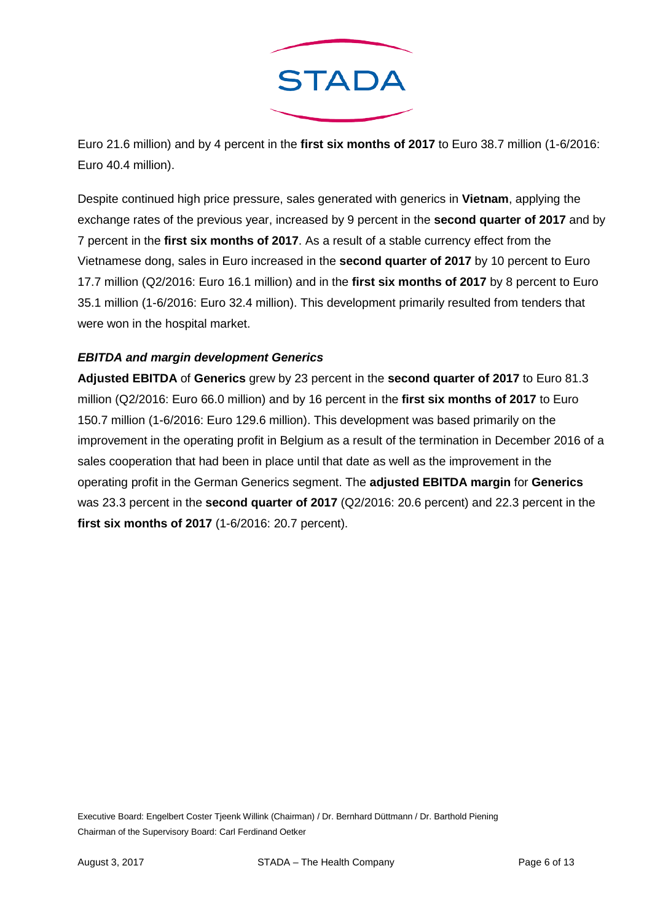

Euro 21.6 million) and by 4 percent in the **first six months of 2017** to Euro 38.7 million (1-6/2016: Euro 40.4 million).

Despite continued high price pressure, sales generated with generics in **Vietnam**, applying the exchange rates of the previous year, increased by 9 percent in the **second quarter of 2017** and by 7 percent in the **first six months of 2017**. As a result of a stable currency effect from the Vietnamese dong, sales in Euro increased in the **second quarter of 2017** by 10 percent to Euro 17.7 million (Q2/2016: Euro 16.1 million) and in the **first six months of 2017** by 8 percent to Euro 35.1 million (1-6/2016: Euro 32.4 million). This development primarily resulted from tenders that were won in the hospital market.

## *EBITDA and margin development Generics*

**Adjusted EBITDA** of **Generics** grew by 23 percent in the **second quarter of 2017** to Euro 81.3 million (Q2/2016: Euro 66.0 million) and by 16 percent in the **first six months of 2017** to Euro 150.7 million (1-6/2016: Euro 129.6 million). This development was based primarily on the improvement in the operating profit in Belgium as a result of the termination in December 2016 of a sales cooperation that had been in place until that date as well as the improvement in the operating profit in the German Generics segment. The **adjusted EBITDA margin** for **Generics** was 23.3 percent in the **second quarter of 2017** (Q2/2016: 20.6 percent) and 22.3 percent in the **first six months of 2017** (1-6/2016: 20.7 percent).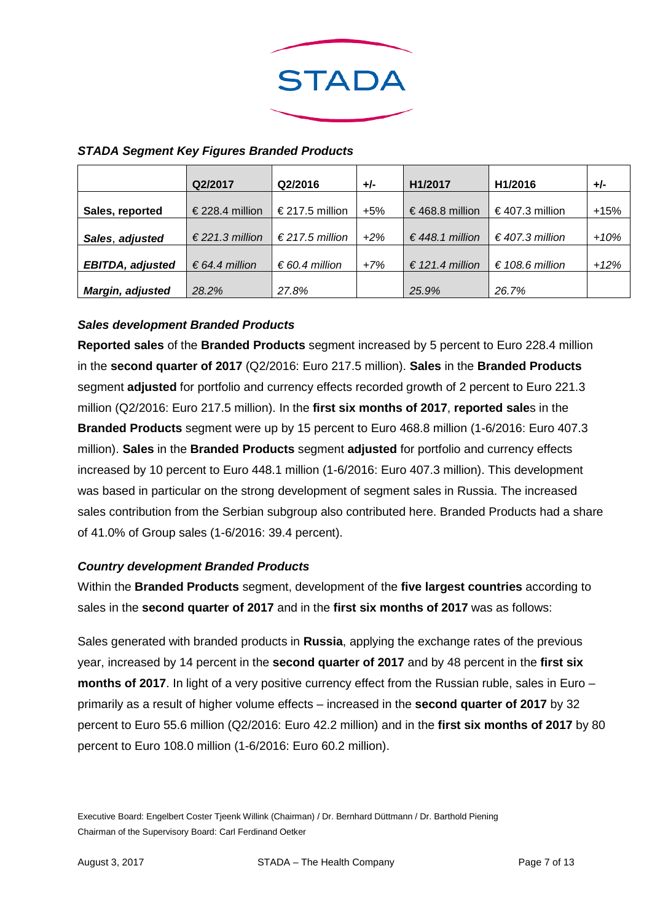

|                         | Q2/2017                  | Q2/2016         | $+/-$  | H1/2017         | H1/2016         | +/-    |
|-------------------------|--------------------------|-----------------|--------|-----------------|-----------------|--------|
| Sales, reported         | € 228.4 million          | € 217.5 million | $+5%$  | €468.8 million  | €407.3 million  | +15%   |
| Sales, adjusted         | $\epsilon$ 221.3 million | € 217.5 million | $+2\%$ | € 448.1 million | € 407.3 million | $+10%$ |
| <b>EBITDA, adjusted</b> | € 64.4 million           | € 60.4 million  | $+7%$  | € 121.4 million | € 108.6 million | +12%   |
| Margin, adjusted        | 28.2%                    | 27.8%           |        | 25.9%           | 26.7%           |        |

## *STADA Segment Key Figures Branded Products*

## *Sales development Branded Products*

**Reported sales** of the **Branded Products** segment increased by 5 percent to Euro 228.4 million in the **second quarter of 2017** (Q2/2016: Euro 217.5 million). **Sales** in the **Branded Products** segment **adjusted** for portfolio and currency effects recorded growth of 2 percent to Euro 221.3 million (Q2/2016: Euro 217.5 million). In the **first six months of 2017**, **reported sale**s in the **Branded Products** segment were up by 15 percent to Euro 468.8 million (1-6/2016: Euro 407.3 million). **Sales** in the **Branded Products** segment **adjusted** for portfolio and currency effects increased by 10 percent to Euro 448.1 million (1-6/2016: Euro 407.3 million). This development was based in particular on the strong development of segment sales in Russia. The increased sales contribution from the Serbian subgroup also contributed here. Branded Products had a share of 41.0% of Group sales (1-6/2016: 39.4 percent).

### *Country development Branded Products*

Within the **Branded Products** segment, development of the **five largest countries** according to sales in the **second quarter of 2017** and in the **first six months of 2017** was as follows:

Sales generated with branded products in **Russia**, applying the exchange rates of the previous year, increased by 14 percent in the **second quarter of 2017** and by 48 percent in the **first six months of 2017**. In light of a very positive currency effect from the Russian ruble, sales in Euro – primarily as a result of higher volume effects – increased in the **second quarter of 2017** by 32 percent to Euro 55.6 million (Q2/2016: Euro 42.2 million) and in the **first six months of 2017** by 80 percent to Euro 108.0 million (1-6/2016: Euro 60.2 million).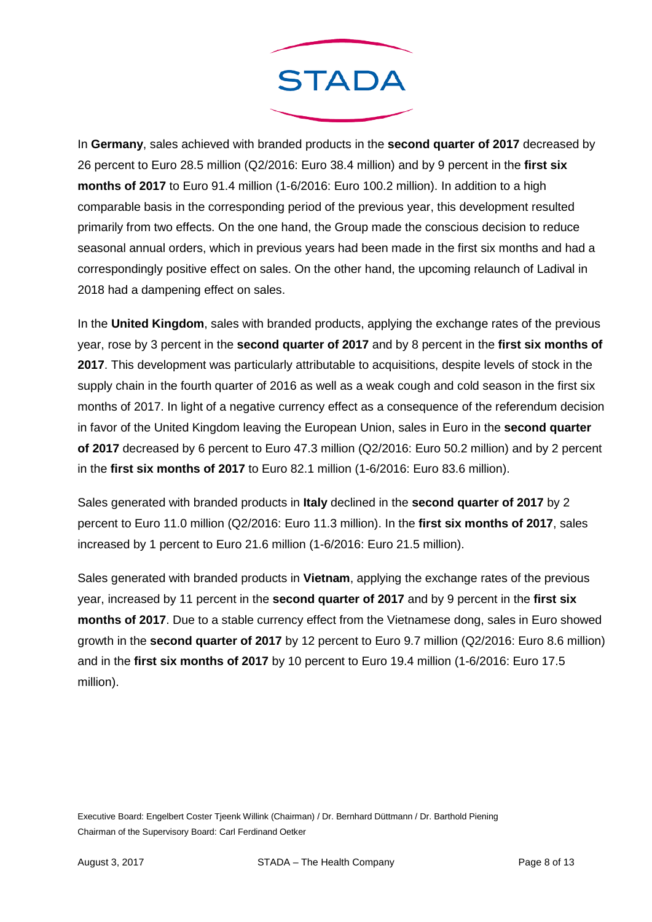

In **Germany**, sales achieved with branded products in the **second quarter of 2017** decreased by 26 percent to Euro 28.5 million (Q2/2016: Euro 38.4 million) and by 9 percent in the **first six months of 2017** to Euro 91.4 million (1-6/2016: Euro 100.2 million). In addition to a high comparable basis in the corresponding period of the previous year, this development resulted primarily from two effects. On the one hand, the Group made the conscious decision to reduce seasonal annual orders, which in previous years had been made in the first six months and had a correspondingly positive effect on sales. On the other hand, the upcoming relaunch of Ladival in 2018 had a dampening effect on sales.

In the **United Kingdom**, sales with branded products, applying the exchange rates of the previous year, rose by 3 percent in the **second quarter of 2017** and by 8 percent in the **first six months of 2017**. This development was particularly attributable to acquisitions, despite levels of stock in the supply chain in the fourth quarter of 2016 as well as a weak cough and cold season in the first six months of 2017. In light of a negative currency effect as a consequence of the referendum decision in favor of the United Kingdom leaving the European Union, sales in Euro in the **second quarter of 2017** decreased by 6 percent to Euro 47.3 million (Q2/2016: Euro 50.2 million) and by 2 percent in the **first six months of 2017** to Euro 82.1 million (1-6/2016: Euro 83.6 million).

Sales generated with branded products in **Italy** declined in the **second quarter of 2017** by 2 percent to Euro 11.0 million (Q2/2016: Euro 11.3 million). In the **first six months of 2017**, sales increased by 1 percent to Euro 21.6 million (1-6/2016: Euro 21.5 million).

Sales generated with branded products in **Vietnam**, applying the exchange rates of the previous year, increased by 11 percent in the **second quarter of 2017** and by 9 percent in the **first six months of 2017**. Due to a stable currency effect from the Vietnamese dong, sales in Euro showed growth in the **second quarter of 2017** by 12 percent to Euro 9.7 million (Q2/2016: Euro 8.6 million) and in the **first six months of 2017** by 10 percent to Euro 19.4 million (1-6/2016: Euro 17.5 million).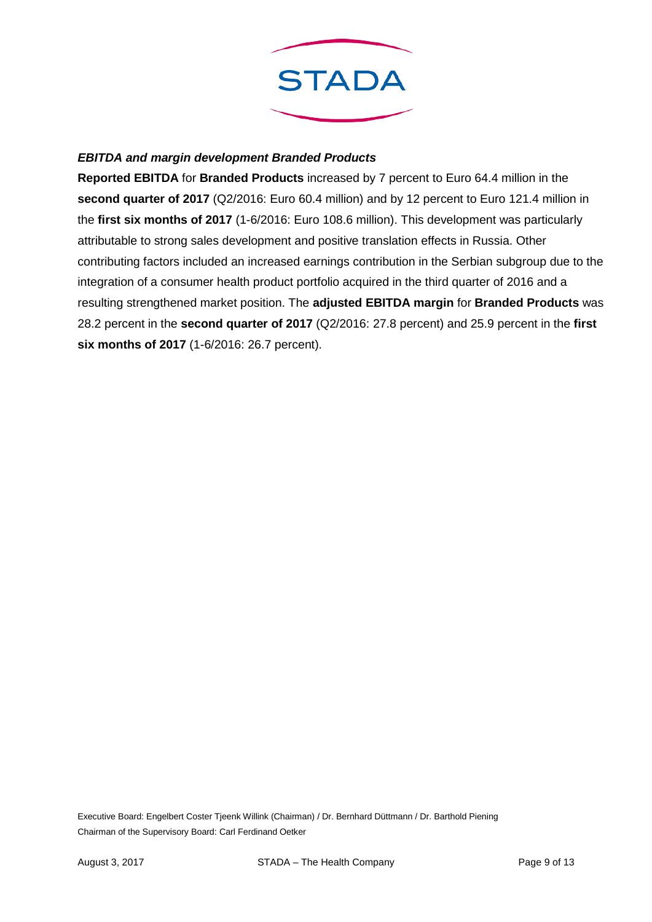

## *EBITDA and margin development Branded Products*

**Reported EBITDA** for **Branded Products** increased by 7 percent to Euro 64.4 million in the **second quarter of 2017** (Q2/2016: Euro 60.4 million) and by 12 percent to Euro 121.4 million in the **first six months of 2017** (1-6/2016: Euro 108.6 million). This development was particularly attributable to strong sales development and positive translation effects in Russia. Other contributing factors included an increased earnings contribution in the Serbian subgroup due to the integration of a consumer health product portfolio acquired in the third quarter of 2016 and a resulting strengthened market position. The **adjusted EBITDA margin** for **Branded Products** was 28.2 percent in the **second quarter of 2017** (Q2/2016: 27.8 percent) and 25.9 percent in the **first six months of 2017** (1-6/2016: 26.7 percent).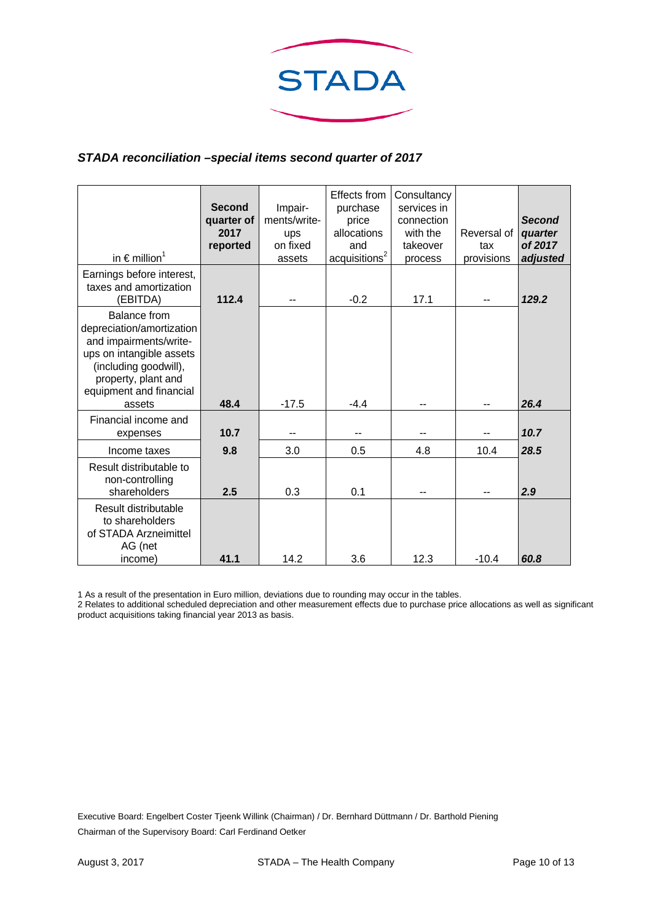

## *STADA reconciliation –special items second quarter of 2017*

| in $\epsilon$ million <sup>1</sup>                                                                                                                                                          | Second<br>quarter of<br>2017<br>reported | Impair-<br>ments/write-<br>ups<br>on fixed<br>assets | Effects from<br>purchase<br>price<br>allocations<br>and<br>acquisitions <sup>2</sup> | Consultancy<br>services in<br>connection<br>with the<br>takeover<br>process | Reversal of<br>tax<br>provisions | <b>Second</b><br>quarter<br>of 2017<br>adjusted |
|---------------------------------------------------------------------------------------------------------------------------------------------------------------------------------------------|------------------------------------------|------------------------------------------------------|--------------------------------------------------------------------------------------|-----------------------------------------------------------------------------|----------------------------------|-------------------------------------------------|
| Earnings before interest,<br>taxes and amortization<br>(EBITDA)                                                                                                                             | 112.4                                    | --                                                   | $-0.2$                                                                               | 17.1                                                                        |                                  | 129.2                                           |
| <b>Balance from</b><br>depreciation/amortization<br>and impairments/write-<br>ups on intangible assets<br>(including goodwill),<br>property, plant and<br>equipment and financial<br>assets | 48.4                                     | $-17.5$                                              | $-4.4$                                                                               |                                                                             |                                  | 26.4                                            |
| Financial income and<br>expenses                                                                                                                                                            | 10.7                                     | --                                                   | --                                                                                   | -−                                                                          |                                  | 10.7                                            |
| Income taxes                                                                                                                                                                                | 9.8                                      | 3.0                                                  | 0.5                                                                                  | 4.8                                                                         | 10.4                             | 28.5                                            |
| Result distributable to<br>non-controlling<br>shareholders                                                                                                                                  | 2.5                                      | 0.3                                                  | 0.1                                                                                  | --                                                                          |                                  | 2.9                                             |
| Result distributable<br>to shareholders<br>of STADA Arzneimittel<br>AG (net<br>income)                                                                                                      | 41.1                                     | 14.2                                                 | 3.6                                                                                  | 12.3                                                                        | $-10.4$                          | 60.8                                            |

1 As a result of the presentation in Euro million, deviations due to rounding may occur in the tables.

2 Relates to additional scheduled depreciation and other measurement effects due to purchase price allocations as well as significant product acquisitions taking financial year 2013 as basis.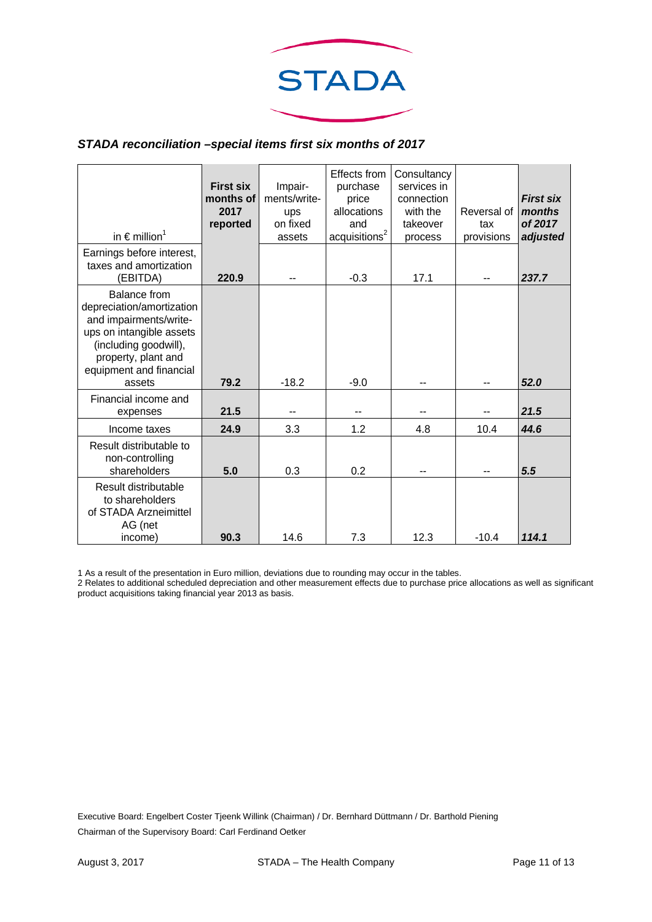

#### *STADA reconciliation –special items first six months of 2017*

| in $\epsilon$ million <sup>1</sup>                                                                                                                                                          | <b>First six</b><br>months of<br>2017<br>reported | Impair-<br>ments/write-<br>ups<br>on fixed<br>assets | Effects from<br>purchase<br>price<br>allocations<br>and<br>acquisitions <sup>2</sup> | Consultancy<br>services in<br>connection<br>with the<br>takeover<br>process | Reversal of<br>tax<br>provisions | <b>First six</b><br>months<br>of 2017<br>adjusted |
|---------------------------------------------------------------------------------------------------------------------------------------------------------------------------------------------|---------------------------------------------------|------------------------------------------------------|--------------------------------------------------------------------------------------|-----------------------------------------------------------------------------|----------------------------------|---------------------------------------------------|
| Earnings before interest,<br>taxes and amortization<br>(EBITDA)                                                                                                                             | 220.9                                             | --                                                   | $-0.3$                                                                               | 17.1                                                                        | $-$                              | 237.7                                             |
| <b>Balance from</b><br>depreciation/amortization<br>and impairments/write-<br>ups on intangible assets<br>(including goodwill),<br>property, plant and<br>equipment and financial<br>assets | 79.2                                              | $-18.2$                                              | $-9.0$                                                                               |                                                                             |                                  | 52.0                                              |
| Financial income and<br>expenses                                                                                                                                                            | 21.5                                              | --                                                   | --                                                                                   |                                                                             |                                  | 21.5                                              |
| Income taxes                                                                                                                                                                                | 24.9                                              | 3.3                                                  | 1.2                                                                                  | 4.8                                                                         | 10.4                             | 44.6                                              |
| Result distributable to<br>non-controlling<br>shareholders                                                                                                                                  | 5.0                                               | 0.3                                                  | 0.2                                                                                  | --                                                                          | --                               | 5.5                                               |
| Result distributable<br>to shareholders<br>of STADA Arzneimittel<br>AG (net<br>income)                                                                                                      | 90.3                                              | 14.6                                                 | 7.3                                                                                  | 12.3                                                                        | $-10.4$                          | 114.1                                             |

1 As a result of the presentation in Euro million, deviations due to rounding may occur in the tables.

2 Relates to additional scheduled depreciation and other measurement effects due to purchase price allocations as well as significant product acquisitions taking financial year 2013 as basis.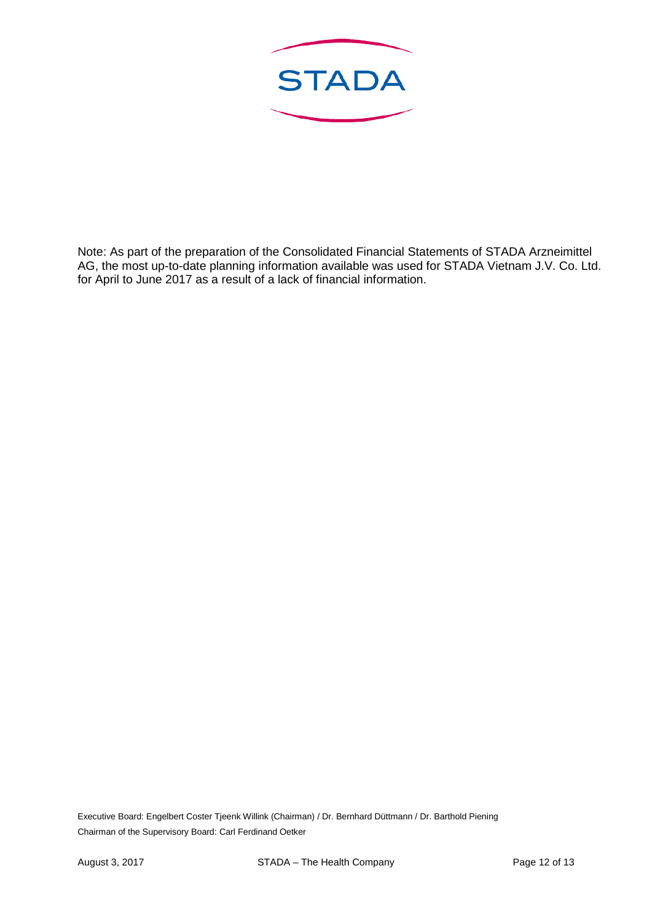

Note: As part of the preparation of the Consolidated Financial Statements of STADA Arzneimittel AG, the most up-to-date planning information available was used for STADA Vietnam J.V. Co. Ltd. for April to June 2017 as a result of a lack of financial information.